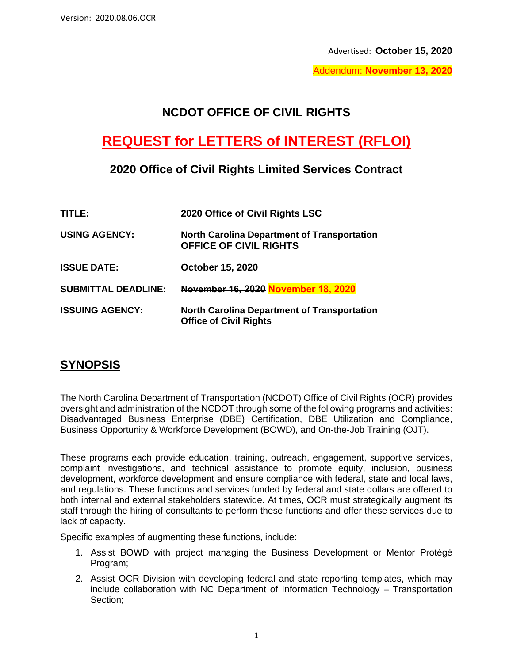Advertised: **October 15, 2020**

Addendum: **November 13, 2020**

## **NCDOT OFFICE OF CIVIL RIGHTS**

# **REQUEST for LETTERS of INTEREST (RFLOI)**

## **2020 Office of Civil Rights Limited Services Contract**

| TITLE: .                   | 2020 Office of Civil Rights LSC                                                     |
|----------------------------|-------------------------------------------------------------------------------------|
| <b>USING AGENCY:</b>       | <b>North Carolina Department of Transportation</b><br><b>OFFICE OF CIVIL RIGHTS</b> |
| <b>ISSUE DATE:</b>         | October 15, 2020                                                                    |
| <b>SUBMITTAL DEADLINE:</b> | November 16, 2020 November 18, 2020                                                 |
| <b>ISSUING AGENCY:</b>     | <b>North Carolina Department of Transportation</b><br><b>Office of Civil Rights</b> |

## **SYNOPSIS**

The North Carolina Department of Transportation (NCDOT) Office of Civil Rights (OCR) provides oversight and administration of the NCDOT through some of the following programs and activities: Disadvantaged Business Enterprise (DBE) Certification, DBE Utilization and Compliance, Business Opportunity & Workforce Development (BOWD), and On-the-Job Training (OJT).

These programs each provide education, training, outreach, engagement, supportive services, complaint investigations, and technical assistance to promote equity, inclusion, business development, workforce development and ensure compliance with federal, state and local laws, and regulations. These functions and services funded by federal and state dollars are offered to both internal and external stakeholders statewide. At times, OCR must strategically augment its staff through the hiring of consultants to perform these functions and offer these services due to lack of capacity.

Specific examples of augmenting these functions, include:

- 1. Assist BOWD with project managing the Business Development or Mentor Protégé Program;
- 2. Assist OCR Division with developing federal and state reporting templates, which may include collaboration with NC Department of Information Technology – Transportation Section;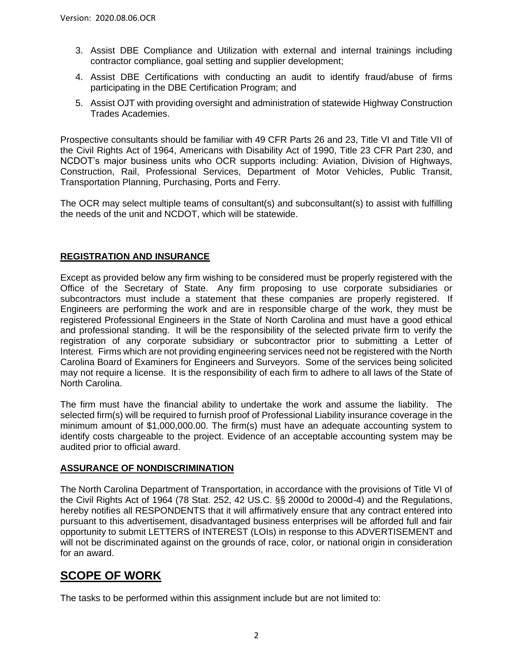- 3. Assist DBE Compliance and Utilization with external and internal trainings including contractor compliance, goal setting and supplier development;
- 4. Assist DBE Certifications with conducting an audit to identify fraud/abuse of firms participating in the DBE Certification Program; and
- 5. Assist OJT with providing oversight and administration of statewide Highway Construction Trades Academies.

Prospective consultants should be familiar with 49 CFR Parts 26 and 23, Title VI and Title VII of the Civil Rights Act of 1964, Americans with Disability Act of 1990, Title 23 CFR Part 230, and NCDOT's major business units who OCR supports including: Aviation, Division of Highways, Construction, Rail, Professional Services, Department of Motor Vehicles, Public Transit, Transportation Planning, Purchasing, Ports and Ferry.

The OCR may select multiple teams of consultant(s) and subconsultant(s) to assist with fulfilling the needs of the unit and NCDOT, which will be statewide.

### **REGISTRATION AND INSURANCE**

Except as provided below any firm wishing to be considered must be properly registered with the Office of the Secretary of State. Any firm proposing to use corporate subsidiaries or subcontractors must include a statement that these companies are properly registered. If Engineers are performing the work and are in responsible charge of the work, they must be registered Professional Engineers in the State of North Carolina and must have a good ethical and professional standing. It will be the responsibility of the selected private firm to verify the registration of any corporate subsidiary or subcontractor prior to submitting a Letter of Interest. Firms which are not providing engineering services need not be registered with the North Carolina Board of Examiners for Engineers and Surveyors. Some of the services being solicited may not require a license. It is the responsibility of each firm to adhere to all laws of the State of North Carolina.

The firm must have the financial ability to undertake the work and assume the liability. The selected firm(s) will be required to furnish proof of Professional Liability insurance coverage in the minimum amount of \$1,000,000.00. The firm(s) must have an adequate accounting system to identify costs chargeable to the project. Evidence of an acceptable accounting system may be audited prior to official award.

#### **ASSURANCE OF NONDISCRIMINATION**

The North Carolina Department of Transportation, in accordance with the provisions of Title VI of the Civil Rights Act of 1964 (78 Stat. 252, 42 US.C. §§ 2000d to 2000d-4) and the Regulations, hereby notifies all RESPONDENTS that it will affirmatively ensure that any contract entered into pursuant to this advertisement, disadvantaged business enterprises will be afforded full and fair opportunity to submit LETTERS of INTEREST (LOIs) in response to this ADVERTISEMENT and will not be discriminated against on the grounds of race, color, or national origin in consideration for an award.

## **SCOPE OF WORK**

The tasks to be performed within this assignment include but are not limited to: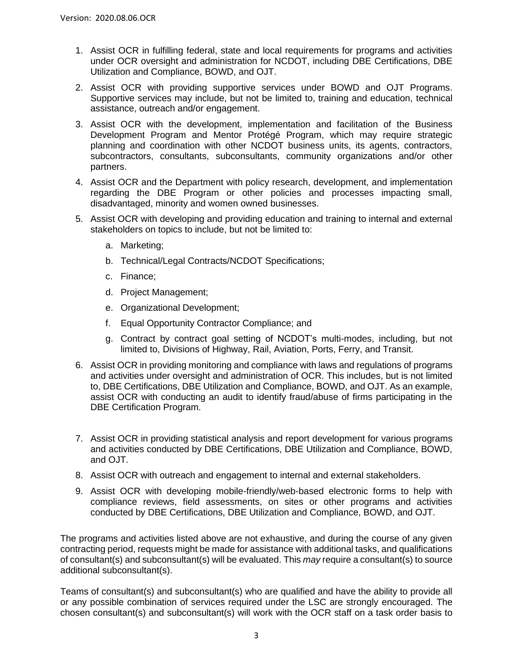- 1. Assist OCR in fulfilling federal, state and local requirements for programs and activities under OCR oversight and administration for NCDOT, including DBE Certifications, DBE Utilization and Compliance, BOWD, and OJT.
- 2. Assist OCR with providing supportive services under BOWD and OJT Programs. Supportive services may include, but not be limited to, training and education, technical assistance, outreach and/or engagement.
- 3. Assist OCR with the development, implementation and facilitation of the Business Development Program and Mentor Protégé Program, which may require strategic planning and coordination with other NCDOT business units, its agents, contractors, subcontractors, consultants, subconsultants, community organizations and/or other partners.
- 4. Assist OCR and the Department with policy research, development, and implementation regarding the DBE Program or other policies and processes impacting small, disadvantaged, minority and women owned businesses.
- 5. Assist OCR with developing and providing education and training to internal and external stakeholders on topics to include, but not be limited to:
	- a. Marketing;
	- b. Technical/Legal Contracts/NCDOT Specifications;
	- c. Finance;
	- d. Project Management;
	- e. Organizational Development;
	- f. Equal Opportunity Contractor Compliance; and
	- g. Contract by contract goal setting of NCDOT's multi-modes, including, but not limited to, Divisions of Highway, Rail, Aviation, Ports, Ferry, and Transit.
- 6. Assist OCR in providing monitoring and compliance with laws and regulations of programs and activities under oversight and administration of OCR. This includes, but is not limited to, DBE Certifications, DBE Utilization and Compliance, BOWD, and OJT. As an example, assist OCR with conducting an audit to identify fraud/abuse of firms participating in the DBE Certification Program.
- 7. Assist OCR in providing statistical analysis and report development for various programs and activities conducted by DBE Certifications, DBE Utilization and Compliance, BOWD, and OJT.
- 8. Assist OCR with outreach and engagement to internal and external stakeholders.
- 9. Assist OCR with developing mobile-friendly/web-based electronic forms to help with compliance reviews, field assessments, on sites or other programs and activities conducted by DBE Certifications, DBE Utilization and Compliance, BOWD, and OJT.

The programs and activities listed above are not exhaustive, and during the course of any given contracting period, requests might be made for assistance with additional tasks, and qualifications of consultant(s) and subconsultant(s) will be evaluated. This *may* require a consultant(s) to source additional subconsultant(s).

Teams of consultant(s) and subconsultant(s) who are qualified and have the ability to provide all or any possible combination of services required under the LSC are strongly encouraged. The chosen consultant(s) and subconsultant(s) will work with the OCR staff on a task order basis to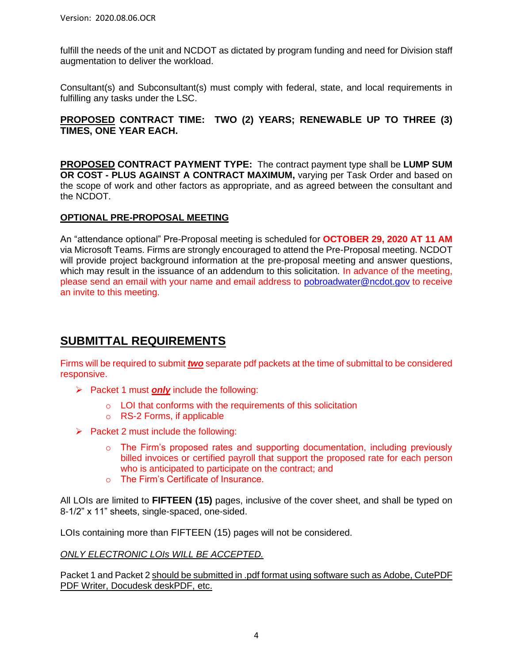fulfill the needs of the unit and NCDOT as dictated by program funding and need for Division staff augmentation to deliver the workload.

Consultant(s) and Subconsultant(s) must comply with federal, state, and local requirements in fulfilling any tasks under the LSC.

### **PROPOSED CONTRACT TIME: TWO (2) YEARS; RENEWABLE UP TO THREE (3) TIMES, ONE YEAR EACH.**

**PROPOSED CONTRACT PAYMENT TYPE:** The contract payment type shall be **LUMP SUM OR COST - PLUS AGAINST A CONTRACT MAXIMUM,** varying per Task Order and based on the scope of work and other factors as appropriate, and as agreed between the consultant and the NCDOT.

### **OPTIONAL PRE-PROPOSAL MEETING**

An "attendance optional" Pre-Proposal meeting is scheduled for **OCTOBER 29, 2020 AT 11 AM** via Microsoft Teams. Firms are strongly encouraged to attend the Pre-Proposal meeting. NCDOT will provide project background information at the pre-proposal meeting and answer questions, which may result in the issuance of an addendum to this solicitation. In advance of the meeting, please send an email with your name and email address to [pobroadwater@ncdot.gov](mailto:pobroadwater@ncdot.gov) to receive an invite to this meeting.

## **SUBMITTAL REQUIREMENTS**

Firms will be required to submit **two** separate pdf packets at the time of submittal to be considered responsive.

- ➢ Packet 1 must *only* include the following:
	- o LOI that conforms with the requirements of this solicitation
	- o RS-2 Forms, if applicable
- $\triangleright$  Packet 2 must include the following:
	- $\circ$  The Firm's proposed rates and supporting documentation, including previously billed invoices or certified payroll that support the proposed rate for each person who is anticipated to participate on the contract; and
	- o The Firm's Certificate of Insurance.

All LOIs are limited to **FIFTEEN (15)** pages, inclusive of the cover sheet, and shall be typed on 8-1/2" x 11" sheets, single-spaced, one-sided.

LOIs containing more than FIFTEEN (15) pages will not be considered.

#### *ONLY ELECTRONIC LOIs WILL BE ACCEPTED.*

Packet 1 and Packet 2 should be submitted in .pdf format using software such as Adobe, CutePDF PDF Writer, Docudesk deskPDF, etc.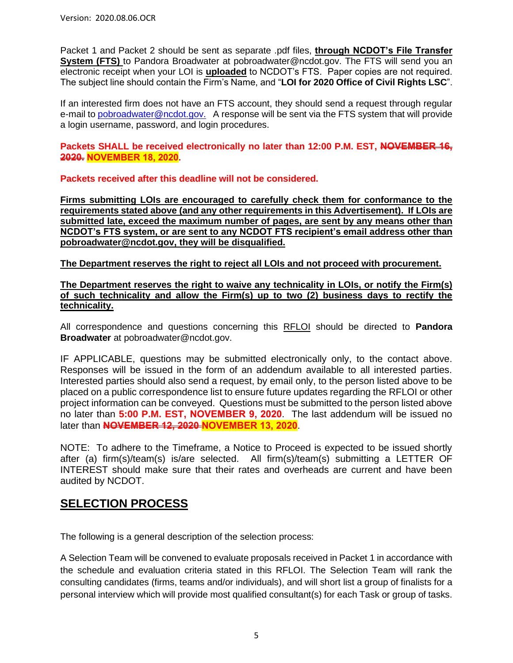Packet 1 and Packet 2 should be sent as separate .pdf files, **through NCDOT's File Transfer System (FTS)** to Pandora Broadwater at pobroadwater@ncdot.gov. The FTS will send you an electronic receipt when your LOI is **uploaded** to NCDOT's FTS. Paper copies are not required. The subject line should contain the Firm's Name, and "**LOI for 2020 Office of Civil Rights LSC**".

If an interested firm does not have an FTS account, they should send a request through regular e-mail to pobroadwater@ncdot.gov. A response will be sent via the FTS system that will provide a login username, password, and login procedures.

**Packets SHALL be received electronically no later than 12:00 P.M. EST, NOVEMBER 16, 2020. NOVEMBER 18, 2020.**

**Packets received after this deadline will not be considered.**

**Firms submitting LOIs are encouraged to carefully check them for conformance to the requirements stated above (and any other requirements in this Advertisement). If LOIs are submitted late, exceed the maximum number of pages, are sent by any means other than NCDOT's FTS system, or are sent to any NCDOT FTS recipient's email address other than pobroadwater@ncdot.gov, they will be disqualified.**

**The Department reserves the right to reject all LOIs and not proceed with procurement.**

**The Department reserves the right to waive any technicality in LOIs, or notify the Firm(s) of such technicality and allow the Firm(s) up to two (2) business days to rectify the technicality.**

All correspondence and questions concerning this RFLOI should be directed to **Pandora Broadwater** at pobroadwater@ncdot.gov.

IF APPLICABLE, questions may be submitted electronically only, to the contact above. Responses will be issued in the form of an addendum available to all interested parties. Interested parties should also send a request, by email only, to the person listed above to be placed on a public correspondence list to ensure future updates regarding the RFLOI or other project information can be conveyed. Questions must be submitted to the person listed above no later than **5:00 P.M. EST, NOVEMBER 9, 2020**. The last addendum will be issued no later than **NOVEMBER 12, 2020 NOVEMBER 13, 2020**.

NOTE: To adhere to the Timeframe, a Notice to Proceed is expected to be issued shortly after (a) firm(s)/team(s) is/are selected. All firm(s)/team(s) submitting a LETTER OF INTEREST should make sure that their rates and overheads are current and have been audited by NCDOT.

## **SELECTION PROCESS**

The following is a general description of the selection process:

A Selection Team will be convened to evaluate proposals received in Packet 1 in accordance with the schedule and evaluation criteria stated in this RFLOI. The Selection Team will rank the consulting candidates (firms, teams and/or individuals), and will short list a group of finalists for a personal interview which will provide most qualified consultant(s) for each Task or group of tasks.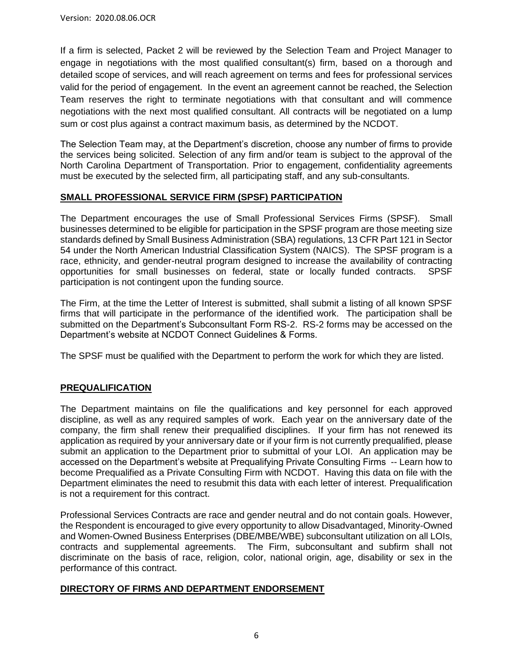If a firm is selected, Packet 2 will be reviewed by the Selection Team and Project Manager to engage in negotiations with the most qualified consultant(s) firm, based on a thorough and detailed scope of services, and will reach agreement on terms and fees for professional services valid for the period of engagement. In the event an agreement cannot be reached, the Selection Team reserves the right to terminate negotiations with that consultant and will commence negotiations with the next most qualified consultant. All contracts will be negotiated on a lump sum or cost plus against a contract maximum basis, as determined by the NCDOT.

The Selection Team may, at the Department's discretion, choose any number of firms to provide the services being solicited. Selection of any firm and/or team is subject to the approval of the North Carolina Department of Transportation. Prior to engagement, confidentiality agreements must be executed by the selected firm, all participating staff, and any sub-consultants.

### **SMALL PROFESSIONAL SERVICE FIRM (SPSF) PARTICIPATION**

The Department encourages the use of Small Professional Services Firms (SPSF). Small businesses determined to be eligible for participation in the SPSF program are those meeting size standards defined by Small Business Administration (SBA) regulations, 13 CFR Part 121 in Sector 54 under the North American Industrial Classification System (NAICS). The SPSF program is a race, ethnicity, and gender-neutral program designed to increase the availability of contracting opportunities for small businesses on federal, state or locally funded contracts. SPSF participation is not contingent upon the funding source.

The Firm, at the time the Letter of Interest is submitted, shall submit a listing of all known SPSF firms that will participate in the performance of the identified work. The participation shall be submitted on the Department's Subconsultant Form RS-2. RS-2 forms may be accessed on the Department's website at NCDOT Connect Guidelines & Forms.

The SPSF must be qualified with the Department to perform the work for which they are listed.

### **PREQUALIFICATION**

The Department maintains on file the qualifications and key personnel for each approved discipline, as well as any required samples of work. Each year on the anniversary date of the company, the firm shall renew their prequalified disciplines. If your firm has not renewed its application as required by your anniversary date or if your firm is not currently prequalified, please submit an application to the Department prior to submittal of your LOI. An application may be accessed on the Department's website at Prequalifying Private Consulting Firms -- Learn how to become Prequalified as a Private Consulting Firm with NCDOT. Having this data on file with the Department eliminates the need to resubmit this data with each letter of interest. Prequalification is not a requirement for this contract.

Professional Services Contracts are race and gender neutral and do not contain goals. However, the Respondent is encouraged to give every opportunity to allow Disadvantaged, Minority-Owned and Women-Owned Business Enterprises (DBE/MBE/WBE) subconsultant utilization on all LOIs, contracts and supplemental agreements. The Firm, subconsultant and subfirm shall not discriminate on the basis of race, religion, color, national origin, age, disability or sex in the performance of this contract.

#### **DIRECTORY OF FIRMS AND DEPARTMENT ENDORSEMENT**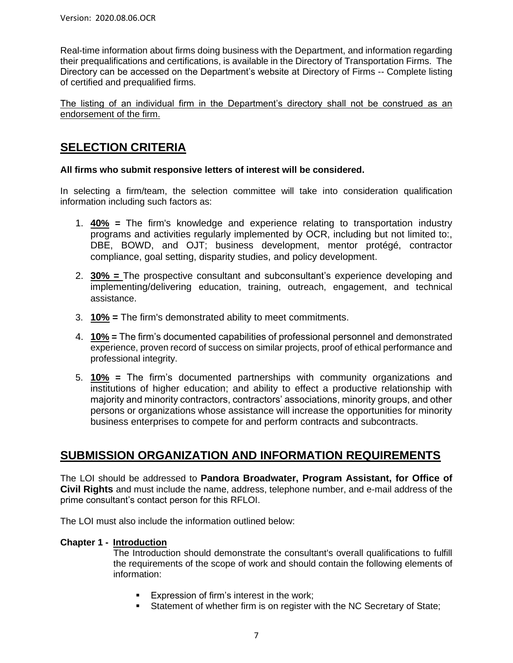Real-time information about firms doing business with the Department, and information regarding their prequalifications and certifications, is available in the Directory of Transportation Firms. The Directory can be accessed on the Department's website at Directory of Firms -- Complete listing of certified and prequalified firms.

The listing of an individual firm in the Department's directory shall not be construed as an endorsement of the firm.

## **SELECTION CRITERIA**

### **All firms who submit responsive letters of interest will be considered.**

In selecting a firm/team, the selection committee will take into consideration qualification information including such factors as:

- 1. **40% =** The firm's knowledge and experience relating to transportation industry programs and activities regularly implemented by OCR, including but not limited to:, DBE, BOWD, and OJT; business development, mentor protégé, contractor compliance, goal setting, disparity studies, and policy development.
- 2. **30% =** The prospective consultant and subconsultant's experience developing and implementing/delivering education, training, outreach, engagement, and technical assistance.
- 3. **10% =** The firm's demonstrated ability to meet commitments.
- 4. **10% =** The firm's documented capabilities of professional personnel and demonstrated experience, proven record of success on similar projects, proof of ethical performance and professional integrity.
- 5. **10% =** The firm's documented partnerships with community organizations and institutions of higher education; and ability to effect a productive relationship with majority and minority contractors, contractors' associations, minority groups, and other persons or organizations whose assistance will increase the opportunities for minority business enterprises to compete for and perform contracts and subcontracts.

## **SUBMISSION ORGANIZATION AND INFORMATION REQUIREMENTS**

The LOI should be addressed to **Pandora Broadwater, Program Assistant, for Office of Civil Rights** and must include the name, address, telephone number, and e-mail address of the prime consultant's contact person for this RFLOI.

The LOI must also include the information outlined below:

#### **Chapter 1 - Introduction**

The Introduction should demonstrate the consultant's overall qualifications to fulfill the requirements of the scope of work and should contain the following elements of information:

- **Expression of firm's interest in the work;**
- Statement of whether firm is on register with the NC Secretary of State;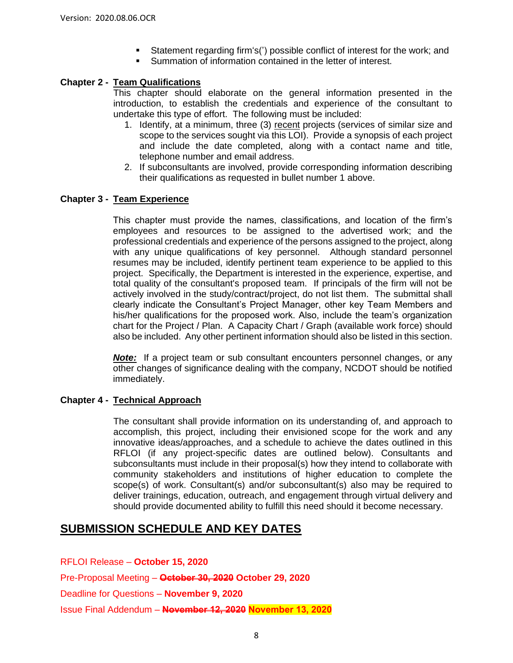- Statement regarding firm's(') possible conflict of interest for the work; and
- Summation of information contained in the letter of interest.

#### **Chapter 2 - Team Qualifications**

This chapter should elaborate on the general information presented in the introduction, to establish the credentials and experience of the consultant to undertake this type of effort. The following must be included:

- 1. Identify, at a minimum, three (3) recent projects (services of similar size and scope to the services sought via this LOI). Provide a synopsis of each project and include the date completed, along with a contact name and title, telephone number and email address.
- 2. If subconsultants are involved, provide corresponding information describing their qualifications as requested in bullet number 1 above.

#### **Chapter 3 - Team Experience**

This chapter must provide the names, classifications, and location of the firm's employees and resources to be assigned to the advertised work; and the professional credentials and experience of the persons assigned to the project, along with any unique qualifications of key personnel. Although standard personnel resumes may be included, identify pertinent team experience to be applied to this project. Specifically, the Department is interested in the experience, expertise, and total quality of the consultant's proposed team. If principals of the firm will not be actively involved in the study/contract/project, do not list them. The submittal shall clearly indicate the Consultant's Project Manager, other key Team Members and his/her qualifications for the proposed work. Also, include the team's organization chart for the Project / Plan. A Capacity Chart / Graph (available work force) should also be included. Any other pertinent information should also be listed in this section.

*Note:* If a project team or sub consultant encounters personnel changes, or any other changes of significance dealing with the company, NCDOT should be notified immediately.

#### **Chapter 4 - Technical Approach**

The consultant shall provide information on its understanding of, and approach to accomplish, this project, including their envisioned scope for the work and any innovative ideas/approaches, and a schedule to achieve the dates outlined in this RFLOI (if any project-specific dates are outlined below). Consultants and subconsultants must include in their proposal(s) how they intend to collaborate with community stakeholders and institutions of higher education to complete the scope(s) of work. Consultant(s) and/or subconsultant(s) also may be required to deliver trainings, education, outreach, and engagement through virtual delivery and should provide documented ability to fulfill this need should it become necessary.

## **SUBMISSION SCHEDULE AND KEY DATES**

RFLOI Release – **October 15, 2020** Pre-Proposal Meeting – **October 30, 2020 October 29, 2020** Deadline for Questions – **November 9, 2020** Issue Final Addendum – **November 12, 2020 November 13, 2020**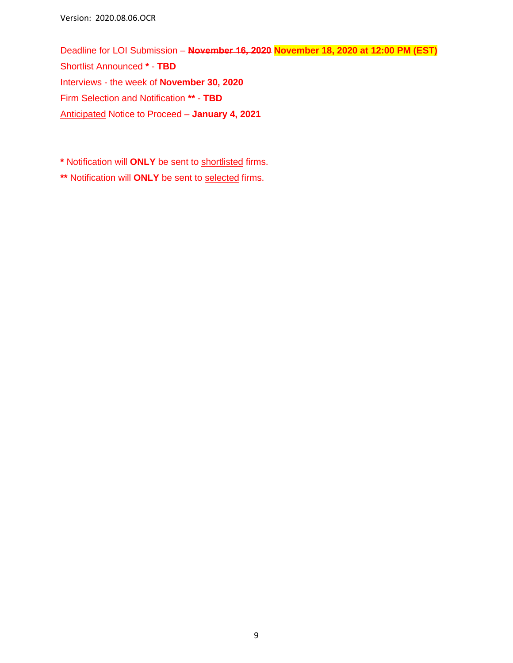Version: 2020.08.06.OCR

Deadline for LOI Submission – **November 16, 2020 November 18, 2020 at 12:00 PM (EST)** Shortlist Announced **\*** - **TBD** Interviews - the week of **November 30, 2020** Firm Selection and Notification **\*\*** - **TBD** Anticipated Notice to Proceed – **January 4, 2021**

**\*** Notification will **ONLY** be sent to shortlisted firms.

**\*\*** Notification will **ONLY** be sent to selected firms.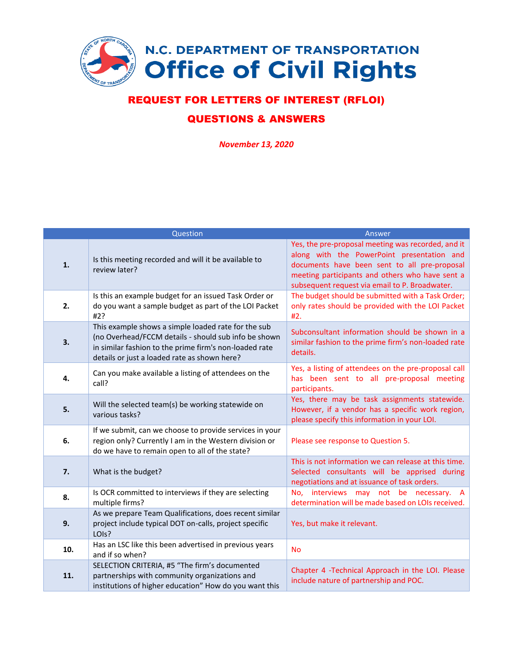

## REQUEST FOR LETTERS OF INTEREST (RFLOI)

### QUESTIONS & ANSWERS

*November 13, 2020*

|     | Question                                                                                                                                                                                                              | Answer                                                                                                                                                                                                                                                |
|-----|-----------------------------------------------------------------------------------------------------------------------------------------------------------------------------------------------------------------------|-------------------------------------------------------------------------------------------------------------------------------------------------------------------------------------------------------------------------------------------------------|
| 1.  | Is this meeting recorded and will it be available to<br>review later?                                                                                                                                                 | Yes, the pre-proposal meeting was recorded, and it<br>along with the PowerPoint presentation and<br>documents have been sent to all pre-proposal<br>meeting participants and others who have sent a<br>subsequent request via email to P. Broadwater. |
| 2.  | Is this an example budget for an issued Task Order or<br>do you want a sample budget as part of the LOI Packet<br>#2?                                                                                                 | The budget should be submitted with a Task Order;<br>only rates should be provided with the LOI Packet<br>#2.                                                                                                                                         |
| 3.  | This example shows a simple loaded rate for the sub<br>(no Overhead/FCCM details - should sub info be shown<br>in similar fashion to the prime firm's non-loaded rate<br>details or just a loaded rate as shown here? | Subconsultant information should be shown in a<br>similar fashion to the prime firm's non-loaded rate<br>details.                                                                                                                                     |
| 4.  | Can you make available a listing of attendees on the<br>call?                                                                                                                                                         | Yes, a listing of attendees on the pre-proposal call<br>has been sent to all pre-proposal meeting<br>participants.                                                                                                                                    |
| 5.  | Will the selected team(s) be working statewide on<br>various tasks?                                                                                                                                                   | Yes, there may be task assignments statewide.<br>However, if a vendor has a specific work region,<br>please specify this information in your LOI.                                                                                                     |
| 6.  | If we submit, can we choose to provide services in your<br>region only? Currently I am in the Western division or<br>do we have to remain open to all of the state?                                                   | Please see response to Question 5.                                                                                                                                                                                                                    |
| 7.  | What is the budget?                                                                                                                                                                                                   | This is not information we can release at this time.<br>Selected consultants will be apprised during<br>negotiations and at issuance of task orders.                                                                                                  |
| 8.  | Is OCR committed to interviews if they are selecting<br>multiple firms?                                                                                                                                               | interviews may not be necessary. A<br>No.<br>determination will be made based on LOIs received.                                                                                                                                                       |
| 9.  | As we prepare Team Qualifications, does recent similar<br>project include typical DOT on-calls, project specific<br>LOIs?                                                                                             | Yes, but make it relevant.                                                                                                                                                                                                                            |
| 10. | Has an LSC like this been advertised in previous years<br>and if so when?                                                                                                                                             | <b>No</b>                                                                                                                                                                                                                                             |
| 11. | SELECTION CRITERIA, #5 "The firm's documented<br>partnerships with community organizations and<br>institutions of higher education" How do you want this                                                              | Chapter 4 - Technical Approach in the LOI. Please<br>include nature of partnership and POC.                                                                                                                                                           |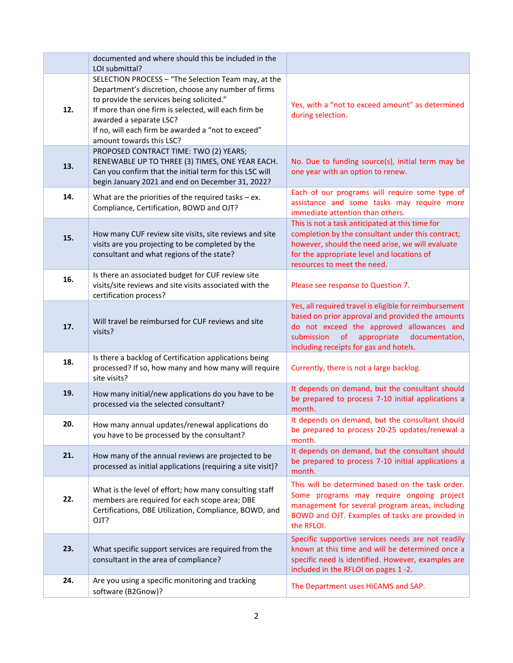|     | documented and where should this be included in the<br>LOI submittal?                                                                                                                                                                                                                                                        |                                                                                                                                                                                                                                                        |
|-----|------------------------------------------------------------------------------------------------------------------------------------------------------------------------------------------------------------------------------------------------------------------------------------------------------------------------------|--------------------------------------------------------------------------------------------------------------------------------------------------------------------------------------------------------------------------------------------------------|
| 12. | SELECTION PROCESS - "The Selection Team may, at the<br>Department's discretion, choose any number of firms<br>to provide the services being solicited."<br>If more than one firm is selected, will each firm be<br>awarded a separate LSC?<br>If no, will each firm be awarded a "not to exceed"<br>amount towards this LSC? | Yes, with a "not to exceed amount" as determined<br>during selection.                                                                                                                                                                                  |
| 13. | PROPOSED CONTRACT TIME: TWO (2) YEARS;<br>RENEWABLE UP TO THREE (3) TIMES, ONE YEAR EACH.<br>Can you confirm that the initial term for this LSC will<br>begin January 2021 and end on December 31, 2022?                                                                                                                     | No. Due to funding source(s), initial term may be<br>one year with an option to renew.                                                                                                                                                                 |
| 14. | What are the priorities of the required tasks $-$ ex.<br>Compliance, Certification, BOWD and OJT?                                                                                                                                                                                                                            | Each of our programs will require some type of<br>assistance and some tasks may require more<br>immediate attention than others.                                                                                                                       |
| 15. | How many CUF review site visits, site reviews and site<br>visits are you projecting to be completed by the<br>consultant and what regions of the state?                                                                                                                                                                      | This is not a task anticipated at this time for<br>completion by the consultant under this contract;<br>however, should the need arise, we will evaluate<br>for the appropriate level and locations of<br>resources to meet the need.                  |
| 16. | Is there an associated budget for CUF review site<br>visits/site reviews and site visits associated with the<br>certification process?                                                                                                                                                                                       | Please see response to Question 7.                                                                                                                                                                                                                     |
| 17. | Will travel be reimbursed for CUF reviews and site<br>visits?                                                                                                                                                                                                                                                                | Yes, all required travel is eligible for reimbursement<br>based on prior approval and provided the amounts<br>do not exceed the approved allowances and<br>submission<br>of<br>appropriate<br>documentation,<br>including receipts for gas and hotels. |
| 18. | Is there a backlog of Certification applications being<br>processed? If so, how many and how many will require<br>site visits?                                                                                                                                                                                               | Currently, there is not a large backlog.                                                                                                                                                                                                               |
| 19. | How many initial/new applications do you have to be<br>processed via the selected consultant?                                                                                                                                                                                                                                | It depends on demand, but the consultant should<br>be prepared to process 7-10 initial applications a<br>month.                                                                                                                                        |
| 20. | How many annual updates/renewal applications do<br>you have to be processed by the consultant?                                                                                                                                                                                                                               | It depends on demand, but the consultant should<br>be prepared to process 20-25 updates/renewal a<br>month.                                                                                                                                            |
| 21. | How many of the annual reviews are projected to be<br>processed as initial applications (requiring a site visit)?                                                                                                                                                                                                            | It depends on demand, but the consultant should<br>be prepared to process 7-10 initial applications a<br>month.                                                                                                                                        |
| 22. | What is the level of effort; how many consulting staff<br>members are required for each scope area; DBE<br>Certifications, DBE Utilization, Compliance, BOWD, and<br>OJT?                                                                                                                                                    | This will be determined based on the task order.<br>Some programs may require ongoing project<br>management for several program areas, including<br>BOWD and OJT. Examples of tasks are provided in<br>the RFLOI.                                      |
| 23. | What specific support services are required from the<br>consultant in the area of compliance?                                                                                                                                                                                                                                | Specific supportive services needs are not readily<br>known at this time and will be determined once a<br>specific need is identified. However, examples are<br>included in the RFLOI on pages 1-2.                                                    |
| 24. | Are you using a specific monitoring and tracking<br>software (B2Gnow)?                                                                                                                                                                                                                                                       | The Department uses HiCAMS and SAP.                                                                                                                                                                                                                    |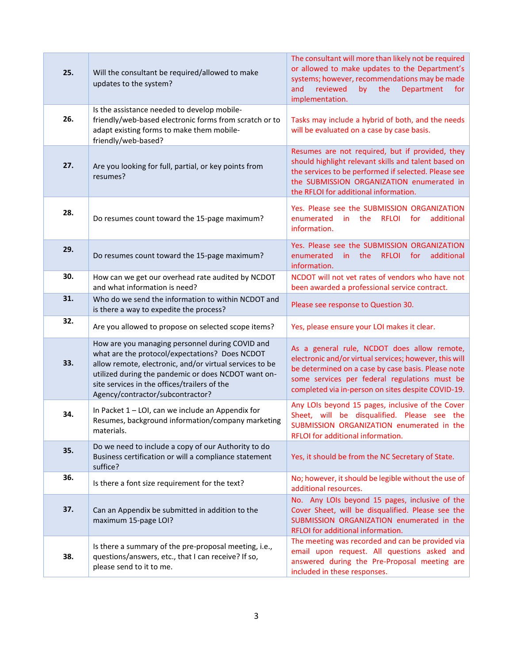| 25. | Will the consultant be required/allowed to make<br>updates to the system?                                                                                                                                                                                                                               | The consultant will more than likely not be required<br>or allowed to make updates to the Department's<br>systems; however, recommendations may be made<br><b>Department</b><br>reviewed<br>by<br>the<br>and<br>for<br>implementation.                             |
|-----|---------------------------------------------------------------------------------------------------------------------------------------------------------------------------------------------------------------------------------------------------------------------------------------------------------|--------------------------------------------------------------------------------------------------------------------------------------------------------------------------------------------------------------------------------------------------------------------|
| 26. | Is the assistance needed to develop mobile-<br>friendly/web-based electronic forms from scratch or to<br>adapt existing forms to make them mobile-<br>friendly/web-based?                                                                                                                               | Tasks may include a hybrid of both, and the needs<br>will be evaluated on a case by case basis.                                                                                                                                                                    |
| 27. | Are you looking for full, partial, or key points from<br>resumes?                                                                                                                                                                                                                                       | Resumes are not required, but if provided, they<br>should highlight relevant skills and talent based on<br>the services to be performed if selected. Please see<br>the SUBMISSION ORGANIZATION enumerated in<br>the RFLOI for additional information.              |
| 28. | Do resumes count toward the 15-page maximum?                                                                                                                                                                                                                                                            | Yes. Please see the SUBMISSION ORGANIZATION<br>enumerated<br>for<br>additional<br>in.<br>the<br><b>RFLOI</b><br>information.                                                                                                                                       |
| 29. | Do resumes count toward the 15-page maximum?                                                                                                                                                                                                                                                            | Yes. Please see the SUBMISSION ORGANIZATION<br>enumerated<br>the<br><b>RFLOI</b><br>additional<br>for<br>in.<br>information.                                                                                                                                       |
| 30. | How can we get our overhead rate audited by NCDOT<br>and what information is need?                                                                                                                                                                                                                      | NCDOT will not vet rates of vendors who have not<br>been awarded a professional service contract.                                                                                                                                                                  |
| 31. | Who do we send the information to within NCDOT and<br>is there a way to expedite the process?                                                                                                                                                                                                           | Please see response to Question 30.                                                                                                                                                                                                                                |
| 32. | Are you allowed to propose on selected scope items?                                                                                                                                                                                                                                                     | Yes, please ensure your LOI makes it clear.                                                                                                                                                                                                                        |
| 33. | How are you managing personnel during COVID and<br>what are the protocol/expectations? Does NCDOT<br>allow remote, electronic, and/or virtual services to be<br>utilized during the pandemic or does NCDOT want on-<br>site services in the offices/trailers of the<br>Agency/contractor/subcontractor? | As a general rule, NCDOT does allow remote,<br>electronic and/or virtual services; however, this will<br>be determined on a case by case basis. Please note<br>some services per federal regulations must be<br>completed via in-person on sites despite COVID-19. |
| 34. | In Packet 1 - LOI, can we include an Appendix for<br>Resumes, background information/company marketing<br>materials.                                                                                                                                                                                    | Any LOIs beyond 15 pages, inclusive of the Cover<br>Sheet, will be disqualified. Please see the<br>SUBMISSION ORGANIZATION enumerated in the<br>RFLOI for additional information.                                                                                  |
| 35. | Do we need to include a copy of our Authority to do<br>Business certification or will a compliance statement<br>suffice?                                                                                                                                                                                | Yes, it should be from the NC Secretary of State.                                                                                                                                                                                                                  |
| 36. | Is there a font size requirement for the text?                                                                                                                                                                                                                                                          | No; however, it should be legible without the use of<br>additional resources.                                                                                                                                                                                      |
| 37. | Can an Appendix be submitted in addition to the<br>maximum 15-page LOI?                                                                                                                                                                                                                                 | No. Any LOIs beyond 15 pages, inclusive of the<br>Cover Sheet, will be disqualified. Please see the<br>SUBMISSION ORGANIZATION enumerated in the<br>RFLOI for additional information.                                                                              |
| 38. | Is there a summary of the pre-proposal meeting, i.e.,<br>questions/answers, etc., that I can receive? If so,<br>please send to it to me.                                                                                                                                                                | The meeting was recorded and can be provided via<br>email upon request. All questions asked and<br>answered during the Pre-Proposal meeting are<br>included in these responses.                                                                                    |